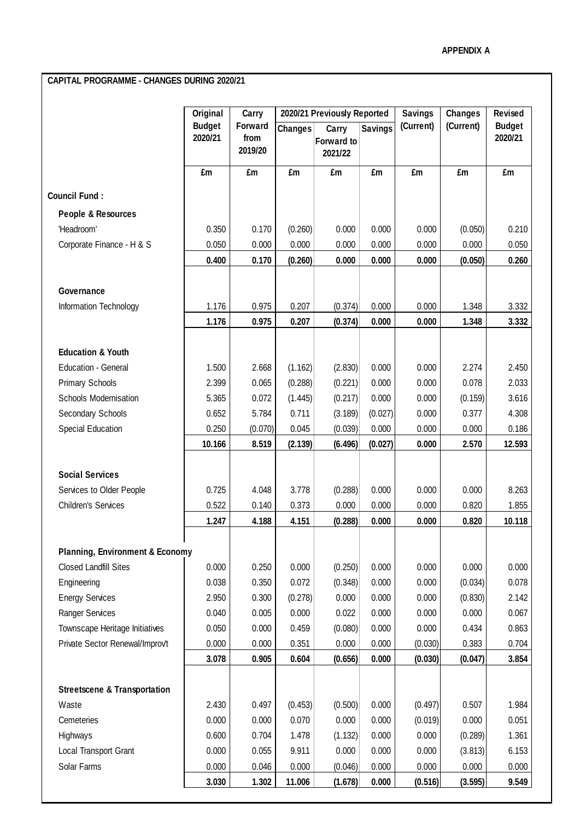## **CAPITAL PROGRAMME - CHANGES DURING 2020/21**

|                                            | Original<br><b>Budget</b><br>2020/21 | Carry<br>Forward<br>from<br>2019/20 | 2020/21 Previously Reported |                                       |                | <b>Savings</b> | <b>Changes</b> | <b>Revised</b>           |
|--------------------------------------------|--------------------------------------|-------------------------------------|-----------------------------|---------------------------------------|----------------|----------------|----------------|--------------------------|
|                                            |                                      |                                     | <b>Changes</b>              | Carry<br><b>Forward to</b><br>2021/22 | <b>Savings</b> | (Current)      | (Current)      | <b>Budget</b><br>2020/21 |
|                                            | £m                                   | £m                                  | £m                          | £m                                    | £m             | £m             | £m             | £m                       |
| <b>Council Fund:</b>                       |                                      |                                     |                             |                                       |                |                |                |                          |
| People & Resources                         |                                      |                                     |                             |                                       |                |                |                |                          |
| 'Headroom'                                 | 0.350                                | 0.170                               | (0.260)                     | 0.000                                 | 0.000          | 0.000          | (0.050)        | 0.210                    |
| Corporate Finance - H & S                  | 0.050                                | 0.000                               | 0.000                       | 0.000                                 | 0.000          | 0.000          | 0.000          | 0.050                    |
|                                            | 0.400                                | 0.170                               | (0.260)                     | 0.000                                 | 0.000          | 0.000          | (0.050)        | 0.260                    |
| Governance                                 |                                      |                                     |                             |                                       |                |                |                |                          |
| Information Technology                     | 1.176                                | 0.975                               | 0.207                       | (0.374)                               | 0.000          | 0.000          | 1.348          | 3.332                    |
|                                            | 1.176                                | 0.975                               | 0.207                       | (0.374)                               | 0.000          | 0.000          | 1.348          | 3.332                    |
|                                            |                                      |                                     |                             |                                       |                |                |                |                          |
| <b>Education &amp; Youth</b>               |                                      |                                     |                             |                                       |                |                |                |                          |
| <b>Education - General</b>                 | 1.500                                | 2.668                               | (1.162)                     | (2.830)                               | 0.000          | 0.000          | 2.274          | 2.450                    |
| <b>Primary Schools</b>                     | 2.399                                | 0.065                               | (0.288)                     | (0.221)                               | 0.000          | 0.000          | 0.078          | 2.033                    |
| Schools Modernisation                      | 5.365                                | 0.072                               | (1.445)                     | (0.217)                               | 0.000          | 0.000          | (0.159)        | 3.616                    |
| Secondary Schools                          | 0.652                                | 5.784                               | 0.711                       | (3.189)                               | (0.027)        | 0.000          | 0.377          | 4.308                    |
| <b>Special Education</b>                   | 0.250                                | (0.070)                             | 0.045                       | (0.039)                               | 0.000          | 0.000          | 0.000          | 0.186                    |
|                                            | 10.166                               | 8.519                               | (2.139)                     | (6.496)                               | (0.027)        | 0.000          | 2.570          | 12.593                   |
|                                            |                                      |                                     |                             |                                       |                |                |                |                          |
| <b>Social Services</b>                     |                                      |                                     |                             |                                       |                |                |                |                          |
| Services to Older People                   | 0.725                                | 4.048                               | 3.778                       | (0.288)                               | 0.000          | 0.000          | 0.000          | 8.263                    |
| <b>Children's Services</b>                 | 0.522                                | 0.140                               | 0.373                       | 0.000                                 | 0.000          | 0.000          | 0.820          | 1.855                    |
|                                            | 1.247                                | 4.188                               | 4.151                       | (0.288)                               | 0.000          | 0.000          | 0.820          | 10.118                   |
| <b>Planning, Environment &amp; Economy</b> |                                      |                                     |                             |                                       |                |                |                |                          |
| <b>Closed Landfill Sites</b>               | 0.000                                | 0.250                               | 0.000                       | (0.250)                               | 0.000          | 0.000          | 0.000          | 0.000                    |
| Engineering                                | 0.038                                | 0.350                               | 0.072                       | (0.348)                               | 0.000          | 0.000          | (0.034)        | 0.078                    |
| <b>Energy Services</b>                     | 2.950                                | 0.300                               | (0.278)                     | 0.000                                 | 0.000          | 0.000          | (0.830)        | 2.142                    |
| Ranger Services                            | 0.040                                | 0.005                               | 0.000                       | 0.022                                 | 0.000          | 0.000          | 0.000          | 0.067                    |
| Townscape Heritage Initiatives             | 0.050                                | 0.000                               | 0.459                       | (0.080)                               | 0.000          | 0.000          | 0.434          | 0.863                    |
| Private Sector Renewal/Improvt             | 0.000                                | 0.000                               | 0.351                       | 0.000                                 | 0.000          | (0.030)        | 0.383          | 0.704                    |
|                                            | 3.078                                | 0.905                               | 0.604                       | (0.656)                               | 0.000          | (0.030)        | (0.047)        | 3.854                    |
| <b>Streetscene &amp; Transportation</b>    |                                      |                                     |                             |                                       |                |                |                |                          |
| Waste                                      | 2.430                                | 0.497                               | (0.453)                     | (0.500)                               | 0.000          | (0.497)        | 0.507          | 1.984                    |
| Cemeteries                                 | 0.000                                | 0.000                               | 0.070                       | 0.000                                 | 0.000          | (0.019)        | 0.000          | 0.051                    |
| Highways                                   | 0.600                                | 0.704                               | 1.478                       | (1.132)                               | 0.000          | 0.000          | (0.289)        | 1.361                    |
| Local Transport Grant                      | 0.000                                | 0.055                               | 9.911                       | 0.000                                 | 0.000          | 0.000          | (3.813)        | 6.153                    |
| Solar Farms                                | 0.000                                | 0.046                               | 0.000                       | (0.046)                               | 0.000          | 0.000          | 0.000          | 0.000                    |
|                                            | 3.030                                | 1.302                               | 11.006                      | (1.678)                               | 0.000          | (0.516)        | (3.595)        | 9.549                    |